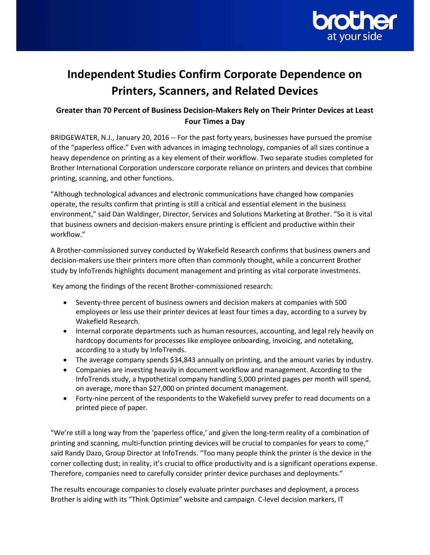

# **Independent Studies Confirm Corporate Dependence on Printers, Scanners, and Related Devices**

# **Greater than 70 Percent of Business Decision-Makers Rely on Their Printer Devices at Least Four Times a Day**

BRIDGEWATER, N.J., January 20, 2016 ‐‐ For the past forty years, businesses have pursued the promise of the "paperless office." Even with advances in imaging technology, companies of all sizes continue a heavy dependence on printing as a key element of their workflow. Two separate studies completed for Brother International Corporation underscore corporate reliance on printers and devices that combine printing, scanning, and other functions.

"Although technological advances and electronic communications have changed how companies operate, the results confirm that printing is still a critical and essential element in the business environment," said Dan Waldinger, Director, Services and Solutions Marketing at Brother. "So it is vital that business owners and decision-makers ensure printing is efficient and productive within their workflow."

A Brother-commissioned survey conducted by Wakefield Research confirms that business owners and decision-makers use their printers more often than commonly thought, while a concurrent Brother study by InfoTrends highlights document management and printing as vital corporate investments.

Key among the findings of the recent Brother-commissioned research:

- Seventy-three percent of business owners and decision makers at companies with 500 employees or less use their printer devices at least four times a day, according to a survey by Wakefield Research.
- Internal corporate departments such as human resources, accounting, and legal rely heavily on hardcopy documents for processes like employee onboarding, invoicing, and notetaking, according to a study by InfoTrends.
- The average company spends \$34,843 annually on printing, and the amount varies by industry.
- Companies are investing heavily in document workflow and management. According to the InfoTrends study, a hypothetical company handling 5,000 printed pages per month will spend, on average, more than \$27,000 on printed document management.
- Forty-nine percent of the respondents to the Wakefield survey prefer to read documents on a printed piece of paper.

"We're still a long way from the 'paperless office,' and given the long-term reality of a combination of printing and scanning, multi-function printing devices will be crucial to companies for years to come," said Randy Dazo, Group Director at InfoTrends. "Too many people think the printer is the device in the corner collecting dust; in reality, it's crucial to office productivity and is a significant operations expense. Therefore, companies need to carefully consider printer device purchases and deployments."

The results encourage companies to closely evaluate printer purchases and deployment, a process Brother is aiding with its "Think Optimize" website and campaign. C-level decision markers, IT